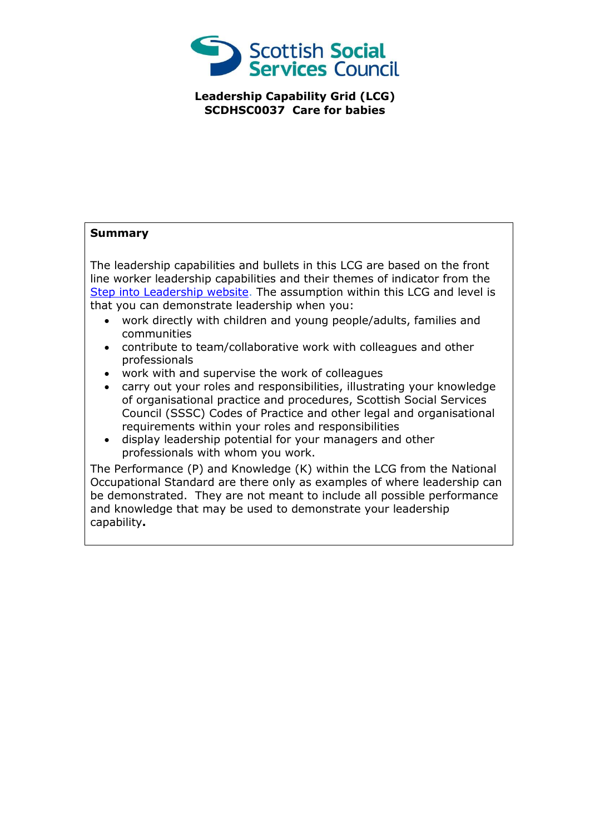

**Leadership Capability Grid (LCG) SCDHSC0037 Care for babies**

## **Summary**

The leadership capabilities and bullets in this LCG are based on the front line worker leadership capabilities and their themes of indicator from the [Step into Leadership website.](http://www.stepintoleadership.info/) The assumption within this LCG and level is that you can demonstrate leadership when you:

- work directly with children and young people/adults, families and communities
- contribute to team/collaborative work with colleagues and other professionals
- work with and supervise the work of colleagues
- carry out your roles and responsibilities, illustrating your knowledge of organisational practice and procedures, Scottish Social Services Council (SSSC) Codes of Practice and other legal and organisational requirements within your roles and responsibilities
- display leadership potential for your managers and other professionals with whom you work.

The Performance (P) and Knowledge (K) within the LCG from the National Occupational Standard are there only as examples of where leadership can be demonstrated. They are not meant to include all possible performance and knowledge that may be used to demonstrate your leadership capability**.**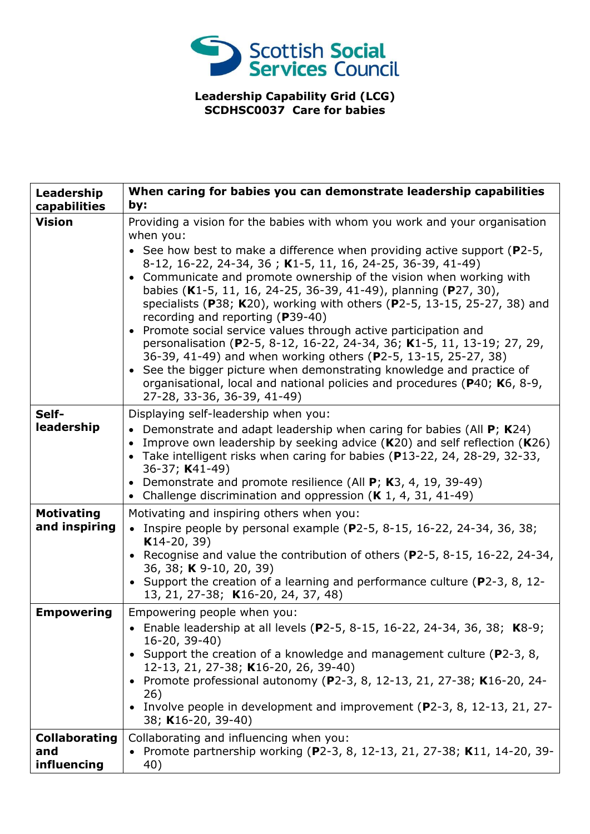

**Leadership Capability Grid (LCG) SCDHSC0037 Care for babies**

| Leadership<br>capabilities                 | When caring for babies you can demonstrate leadership capabilities<br>by:                                                                                                                                                                                                                                                                                                                                                                                                                                                                                                                                                                                                                                                                                                                                                                                                                             |
|--------------------------------------------|-------------------------------------------------------------------------------------------------------------------------------------------------------------------------------------------------------------------------------------------------------------------------------------------------------------------------------------------------------------------------------------------------------------------------------------------------------------------------------------------------------------------------------------------------------------------------------------------------------------------------------------------------------------------------------------------------------------------------------------------------------------------------------------------------------------------------------------------------------------------------------------------------------|
| <b>Vision</b>                              | Providing a vision for the babies with whom you work and your organisation<br>when you:<br>• See how best to make a difference when providing active support ( $P2-5$ ,<br>8-12, 16-22, 24-34, 36; K1-5, 11, 16, 24-25, 36-39, 41-49)<br>• Communicate and promote ownership of the vision when working with<br>babies (K1-5, 11, 16, 24-25, 36-39, 41-49), planning (P27, 30),<br>specialists (P38; K20), working with others (P2-5, 13-15, 25-27, 38) and<br>recording and reporting (P39-40)<br>• Promote social service values through active participation and<br>personalisation (P2-5, 8-12, 16-22, 24-34, 36; K1-5, 11, 13-19; 27, 29,<br>36-39, 41-49) and when working others (P2-5, 13-15, 25-27, 38)<br>• See the bigger picture when demonstrating knowledge and practice of<br>organisational, local and national policies and procedures (P40; K6, 8-9,<br>27-28, 33-36, 36-39, 41-49) |
| Self-<br>leadership                        | Displaying self-leadership when you:<br>• Demonstrate and adapt leadership when caring for babies (All $P$ ; K24)<br>Improve own leadership by seeking advice $(K20)$ and self reflection $(K26)$<br>Take intelligent risks when caring for babies (P13-22, 24, 28-29, 32-33,<br>36-37; K41-49)<br>Demonstrate and promote resilience (All P; K3, 4, 19, 39-49)<br>• Challenge discrimination and oppression $(K 1, 4, 31, 41-49)$                                                                                                                                                                                                                                                                                                                                                                                                                                                                    |
| <b>Motivating</b><br>and inspiring         | Motivating and inspiring others when you:<br>• Inspire people by personal example (P2-5, 8-15, 16-22, 24-34, 36, 38;<br>$K14-20, 39)$<br>• Recognise and value the contribution of others (P2-5, 8-15, 16-22, 24-34,<br>36, 38; K 9-10, 20, 39)<br>• Support the creation of a learning and performance culture (P2-3, 8, 12-<br>13, 21, 27-38; K16-20, 24, 37, 48)                                                                                                                                                                                                                                                                                                                                                                                                                                                                                                                                   |
| <b>Empowering</b>                          | Empowering people when you:<br>• Enable leadership at all levels (P2-5, 8-15, 16-22, 24-34, 36, 38; K8-9;<br>$16-20, 39-40$<br>• Support the creation of a knowledge and management culture ( $P2-3$ , 8,<br>12-13, 21, 27-38; K16-20, 26, 39-40)<br>• Promote professional autonomy (P2-3, 8, 12-13, 21, 27-38; K16-20, 24-<br>26)<br>Involve people in development and improvement (P2-3, 8, 12-13, 21, 27-<br>38; K16-20, 39-40)                                                                                                                                                                                                                                                                                                                                                                                                                                                                   |
| <b>Collaborating</b><br>and<br>influencing | Collaborating and influencing when you:<br>• Promote partnership working (P2-3, 8, 12-13, 21, 27-38; K11, 14-20, 39-<br>40)                                                                                                                                                                                                                                                                                                                                                                                                                                                                                                                                                                                                                                                                                                                                                                           |